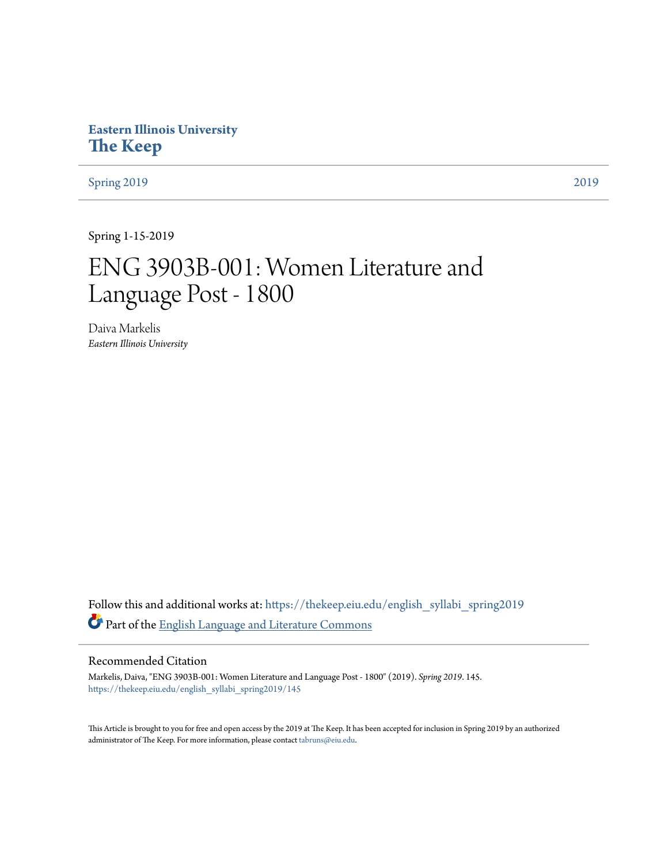## **Eastern Illinois University [The Keep](https://thekeep.eiu.edu?utm_source=thekeep.eiu.edu%2Fenglish_syllabi_spring2019%2F145&utm_medium=PDF&utm_campaign=PDFCoverPages)**

[Spring 2019](https://thekeep.eiu.edu/english_syllabi_spring2019?utm_source=thekeep.eiu.edu%2Fenglish_syllabi_spring2019%2F145&utm_medium=PDF&utm_campaign=PDFCoverPages) [2019](https://thekeep.eiu.edu/english_syllabi2019?utm_source=thekeep.eiu.edu%2Fenglish_syllabi_spring2019%2F145&utm_medium=PDF&utm_campaign=PDFCoverPages)

Spring 1-15-2019

# ENG 3903B-001: Women Literature and Language Post - 1800

Daiva Markelis *Eastern Illinois University*

Follow this and additional works at: [https://thekeep.eiu.edu/english\\_syllabi\\_spring2019](https://thekeep.eiu.edu/english_syllabi_spring2019?utm_source=thekeep.eiu.edu%2Fenglish_syllabi_spring2019%2F145&utm_medium=PDF&utm_campaign=PDFCoverPages) Part of the [English Language and Literature Commons](http://network.bepress.com/hgg/discipline/455?utm_source=thekeep.eiu.edu%2Fenglish_syllabi_spring2019%2F145&utm_medium=PDF&utm_campaign=PDFCoverPages)

#### Recommended Citation

Markelis, Daiva, "ENG 3903B-001: Women Literature and Language Post - 1800" (2019). *Spring 2019*. 145. [https://thekeep.eiu.edu/english\\_syllabi\\_spring2019/145](https://thekeep.eiu.edu/english_syllabi_spring2019/145?utm_source=thekeep.eiu.edu%2Fenglish_syllabi_spring2019%2F145&utm_medium=PDF&utm_campaign=PDFCoverPages)

This Article is brought to you for free and open access by the 2019 at The Keep. It has been accepted for inclusion in Spring 2019 by an authorized administrator of The Keep. For more information, please contact [tabruns@eiu.edu.](mailto:tabruns@eiu.edu)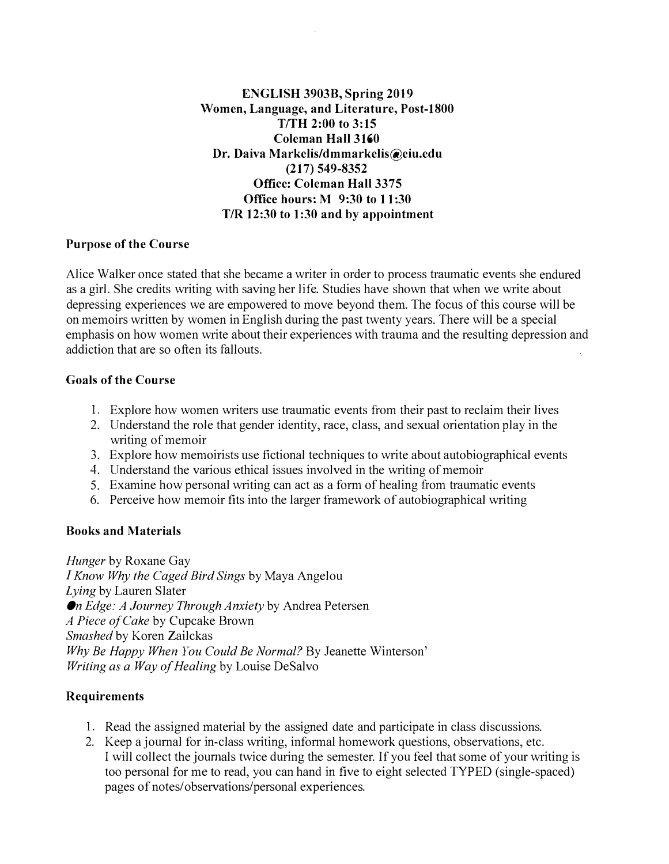#### ENGLISH 3903B, Spring 2019 Women, Language, and Literature, Post-1800  $T/TH$  2:00 to 3:15 Coleman Hall 3160 Dr. Daiva Markelis/dmmarkelis@eiu.edu (217) 549-8352 Office: Coleman Hall 3375 Office hours: M 9:30 to 11 :30 T/R 12:30 to 1:30 and by appointment

#### Purpose of the Course

Alice Walker once stated that she became a writer in order to process traumatic events she endured as a girl. She credits writing with saving her life. Studies have shown that when we write about depressing experiences we are empowered to move beyond them. The focus of this course will be on memoirs written by women in English during the past twenty years. There will be a special emphasis on how women write about their experiences with trauma and the resulting depression and addiction that are so often its fallouts.

#### Goals of the Course

- 1. Explore how women writers use traumatic events from their past to reclaim their lives
- 2. Understand the role that gender identity, race, class, and sexual orientation play in the writing of memoir
- 3. Explore how memoirists use fictional techniques to write about autobiographical events
- 4. Understand the various ethical issues involved in the writing of memoir
- 5. Examine how personal writing can act as a form of healing from traumatic events
- 6. Perceive how memoir fits into the larger framework of autobiographical writing

#### Books and Materials

Hunger by Roxane Gay I Know Why the Caged Bird Sings by Maya Angelou Lying by Lauren Slater On Edge: A Journey Through Anxiety by Andrea Petersen A Piece of Cake by Cupcake Brown Smashed by Koren Zailckas Why Be Happy When You Could Be Normal? By Jeanette Winterson' Writing as a Way of Healing by Louise DeSalvo

## Requirements

- 1. Read the assigned material by the assigned date and participate in class discussions.
- 2. Keep a journal for in-class writing, informal homework questions, observations, etc. I will collect the journals twice during the semester. If you feel that some of your writing is too personal for me to read, you can hand in five to eight selected TYPED (single-spaced) pages of notes/observations/ personal experiences.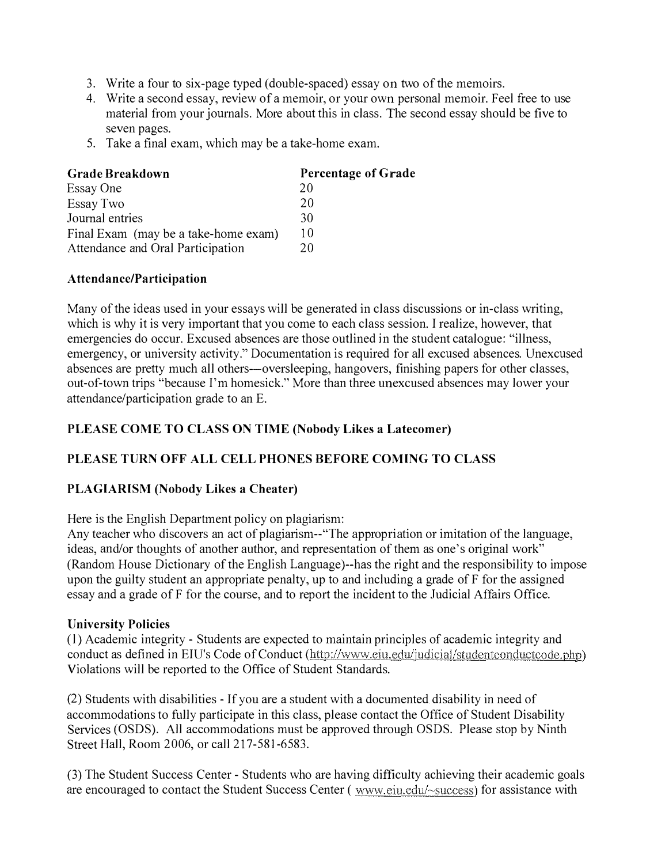- 3. Write a four to six-page typed (double-spaced) essay on two of the memoirs.
- 4. Write a second essay, review of a memoir, or your own personal memoir. Feel free to use material from your journals. More about this in class. The second essay should be five to seven pages.
- 5. Take a final exam, which may be a take-home exam.

| <b>Grade Breakdown</b>               | Percentage of Grade |
|--------------------------------------|---------------------|
| Essay One                            | 20                  |
| Essay Two                            | 20                  |
| Journal entries                      | 30                  |
| Final Exam (may be a take-home exam) | 10                  |
| Attendance and Oral Participation    | 20                  |

#### Attendance/Participation

Many of the ideas used in your essays will be generated in class discussions or in-class writing, which is why it is very important that you come to each class session. I realize, however, that emergencies do occur. Excused absences are those outlined in the student catalogue: "illness, emergency, or university activity." Documentation is required for all excused absences. Unexcused absences are pretty much all others--oversleeping, hangovers, finishing papers for other classes, out-of-town trips "because I'm homesick." More than three unexcused absences may lower your attendance/participation grade to an E.

## PLEASE COME TO CLASS ON TIME (Nobody Likes a Latecomer)

## PLEASE TURN OFF ALL CELL PHONES BEFORE COMING TO CLASS

## PLAGIARISM (Nobody Likes a Cheater)

Here is the English Department policy on plagiarism:

Any teacher who discovers an act of plagiarism--"The appropriation or imitation of the language, ideas, and/or thoughts of another author, and representation of them as one's original work" (Random House Dictionary of the English Language)--has the right and the responsibility to impose upon the guilty student an appropriate penalty, up to and including a grade of F for the assigned essay and a grade of F for the course, and to report the incident to the Judicial Affairs Office.

#### University Policies

(1) Academic integrity - Students are expected to maintain principles of academic integrity and conduct as defined in EIU's Code of Conduct (http://www.eiu.edu/judicial/studentconductcode.php) Violations will be reported to the Office of Student Standards.

(2) Students with disabilities - If you are a student with a documented disability in need of accommodations to fully participate in this class, please contact the Office of Student Disability Services (OSDS). All accommodations must be approved through OSDS. Please stop by Ninth Street Hall, Room 2006, or call 217-581-6583.

(3) The Student Success Center - Students who are having difficulty achieving their academic goals are encouraged to contact the Student Success Center ( www.eiu.edu/~success) for assistance with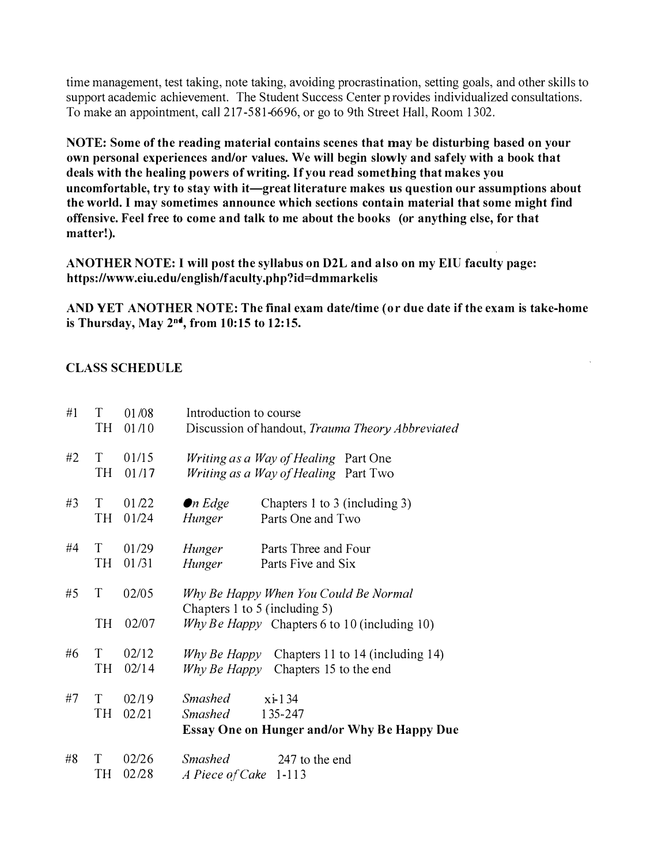time management, test taking, note taking, avoiding procrastination, setting goals, and other skills to support academic achievement. The Student Success Center p rovides individualized consultations. To make an appointment, call 217-581-6696, or go to 9th Street Hall, Room 1302.

NOTE: Some of the reading material contains scenes that may be disturbing based on your own personal experiences and/or values. We will begin slowly and safely with a book that deals with the healing powers of writing. If you read something that makes you uncomfortable, try to stay with it—great literature makes us question our assumptions about the world. I may sometimes announce which sections contain material that some might find offensive. Feel free to come and talk to me about the books (or anything else, for that matter!).

ANOTHER NOTE: I will post the syllabus on D2L and also on my EIU faculty page: https://www.eiu.edu/english/faculty.php?id=dmmarkelis

AND YET ANOTHER NOTE: The final exam date/time (or due date if the exam is take-home is Thursday, May 2"d, from 10:15 to 12:15.

## CLASS SCHEDULE

| #1 | T<br>TН | 01/08<br>01/10 | Introduction to course<br>Discussion of handout, Trauma Theory Abbreviated              |  |
|----|---------|----------------|-----------------------------------------------------------------------------------------|--|
| #2 | T<br>TН | 01/15<br>01/17 | <i>Writing as a Way of Healing</i> Part One<br>Writing as a Way of Healing Part Two     |  |
| #3 | T<br>TH | 01/22<br>01/24 | $\bullet$ n Edge<br>Chapters 1 to 3 (including 3)<br>Parts One and Two<br>Hunger        |  |
| #4 | T<br>TН | 01/29<br>01/31 | Hunger<br>Parts Three and Four<br>Hunger<br>Parts Five and Six                          |  |
| #5 | T       | 02/05          | Why Be Happy When You Could Be Normal<br>Chapters 1 to 5 (including 5)                  |  |
|    | TН      | 02/07          | Why Be Happy Chapters 6 to 10 (including 10)                                            |  |
| #6 | T<br>TH | 02/12<br>02/14 | Why Be Happy Chapters 11 to 14 (including 14)<br>Chapters 15 to the end<br>Why Be Happy |  |
| #7 | T       | 02/19          | <b>Smashed</b><br>$xi-134$                                                              |  |
|    | TН      | 02/21          | <b>Smashed</b><br>135-247                                                               |  |
|    |         |                | <b>Essay One on Hunger and/or Why Be Happy Due</b>                                      |  |
| #8 | T<br>TН | 02/26<br>02/28 | <b>Smashed</b><br>247 to the end<br>A Piece of Cake<br>$1 - 113$                        |  |